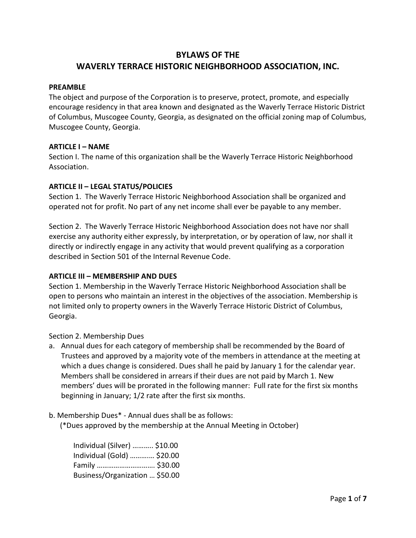# BYLAWS OF THE WAVERLY TERRACE HISTORIC NEIGHBORHOOD ASSOCIATION, INC.

#### PREAMBLE

The object and purpose of the Corporation is to preserve, protect, promote, and especially encourage residency in that area known and designated as the Waverly Terrace Historic District of Columbus, Muscogee County, Georgia, as designated on the official zoning map of Columbus, Muscogee County, Georgia.

#### ARTICLE I – NAME

Section I. The name of this organization shall be the Waverly Terrace Historic Neighborhood Association.

#### ARTICLE II – LEGAL STATUS/POLICIES

Section 1. The Waverly Terrace Historic Neighborhood Association shall be organized and operated not for profit. No part of any net income shall ever be payable to any member.

Section 2. The Waverly Terrace Historic Neighborhood Association does not have nor shall exercise any authority either expressly, by interpretation, or by operation of law, nor shall it directly or indirectly engage in any activity that would prevent qualifying as a corporation described in Section 501 of the Internal Revenue Code.

#### ARTICLE III – MEMBERSHIP AND DUES

Section 1. Membership in the Waverly Terrace Historic Neighborhood Association shall be open to persons who maintain an interest in the objectives of the association. Membership is not limited only to property owners in the Waverly Terrace Historic District of Columbus, Georgia.

Section 2. Membership Dues

- a. Annual dues for each category of membership shall be recommended by the Board of Trustees and approved by a majority vote of the members in attendance at the meeting at which a dues change is considered. Dues shall he paid by January 1 for the calendar year. Members shall be considered in arrears if their dues are not paid by March 1. New members' dues will be prorated in the following manner: Full rate for the first six months beginning in January; 1/2 rate after the first six months.
- b. Membership Dues\* Annual dues shall be as follows:

(\*Dues approved by the membership at the Annual Meeting in October)

| Individual (Silver)  \$10.00   |  |
|--------------------------------|--|
| Individual (Gold)  \$20.00     |  |
| Family  \$30.00                |  |
| Business/Organization  \$50.00 |  |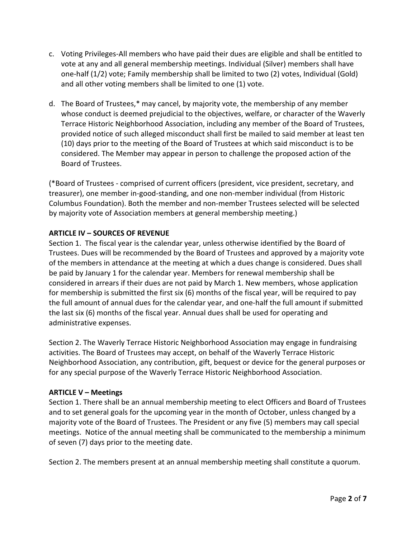- c. Voting Privileges-All members who have paid their dues are eligible and shall be entitled to vote at any and all general membership meetings. Individual (Silver) members shall have one-half (1/2) vote; Family membership shall be limited to two (2) votes, Individual (Gold) and all other voting members shall be limited to one (1) vote.
- d. The Board of Trustees,\* may cancel, by majority vote, the membership of any member whose conduct is deemed prejudicial to the objectives, welfare, or character of the Waverly Terrace Historic Neighborhood Association, including any member of the Board of Trustees, provided notice of such alleged misconduct shall first be mailed to said member at least ten (10) days prior to the meeting of the Board of Trustees at which said misconduct is to be considered. The Member may appear in person to challenge the proposed action of the Board of Trustees.

(\*Board of Trustees - comprised of current officers (president, vice president, secretary, and treasurer), one member in-good-standing, and one non-member individual (from Historic Columbus Foundation). Both the member and non-member Trustees selected will be selected by majority vote of Association members at general membership meeting.)

## ARTICLE IV – SOURCES OF REVENUE

Section 1. The fiscal year is the calendar year, unless otherwise identified by the Board of Trustees. Dues will be recommended by the Board of Trustees and approved by a majority vote of the members in attendance at the meeting at which a dues change is considered. Dues shall be paid by January 1 for the calendar year. Members for renewal membership shall be considered in arrears if their dues are not paid by March 1. New members, whose application for membership is submitted the first six (6) months of the fiscal year, will be required to pay the full amount of annual dues for the calendar year, and one-half the full amount if submitted the last six (6) months of the fiscal year. Annual dues shall be used for operating and administrative expenses.

Section 2. The Waverly Terrace Historic Neighborhood Association may engage in fundraising activities. The Board of Trustees may accept, on behalf of the Waverly Terrace Historic Neighborhood Association, any contribution, gift, bequest or device for the general purposes or for any special purpose of the Waverly Terrace Historic Neighborhood Association.

#### ARTICLE V – Meetings

Section 1. There shall be an annual membership meeting to elect Officers and Board of Trustees and to set general goals for the upcoming year in the month of October, unless changed by a majority vote of the Board of Trustees. The President or any five (5) members may call special meetings. Notice of the annual meeting shall be communicated to the membership a minimum of seven (7) days prior to the meeting date.

Section 2. The members present at an annual membership meeting shall constitute a quorum.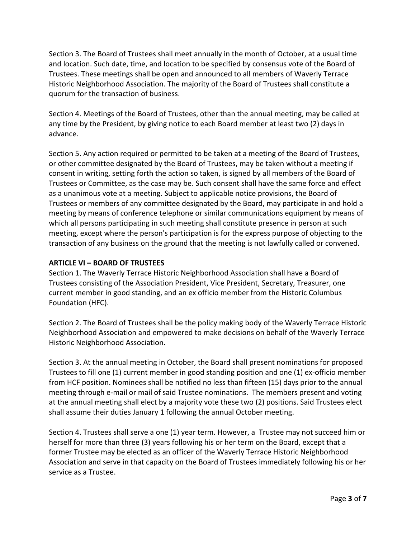Section 3. The Board of Trustees shall meet annually in the month of October, at a usual time and location. Such date, time, and location to be specified by consensus vote of the Board of Trustees. These meetings shall be open and announced to all members of Waverly Terrace Historic Neighborhood Association. The majority of the Board of Trustees shall constitute a quorum for the transaction of business.

Section 4. Meetings of the Board of Trustees, other than the annual meeting, may be called at any time by the President, by giving notice to each Board member at least two (2) days in advance.

Section 5. Any action required or permitted to be taken at a meeting of the Board of Trustees, or other committee designated by the Board of Trustees, may be taken without a meeting if consent in writing, setting forth the action so taken, is signed by all members of the Board of Trustees or Committee, as the case may be. Such consent shall have the same force and effect as a unanimous vote at a meeting. Subject to applicable notice provisions, the Board of Trustees or members of any committee designated by the Board, may participate in and hold a meeting by means of conference telephone or similar communications equipment by means of which all persons participating in such meeting shall constitute presence in person at such meeting, except where the person's participation is for the express purpose of objecting to the transaction of any business on the ground that the meeting is not lawfully called or convened.

## ARTICLE VI – BOARD OF TRUSTEES

Section 1. The Waverly Terrace Historic Neighborhood Association shall have a Board of Trustees consisting of the Association President, Vice President, Secretary, Treasurer, one current member in good standing, and an ex officio member from the Historic Columbus Foundation (HFC).

Section 2. The Board of Trustees shall be the policy making body of the Waverly Terrace Historic Neighborhood Association and empowered to make decisions on behalf of the Waverly Terrace Historic Neighborhood Association.

Section 3. At the annual meeting in October, the Board shall present nominations for proposed Trustees to fill one (1) current member in good standing position and one (1) ex-officio member from HCF position. Nominees shall be notified no less than fifteen (15) days prior to the annual meeting through e-mail or mail of said Trustee nominations. The members present and voting at the annual meeting shall elect by a majority vote these two (2) positions. Said Trustees elect shall assume their duties January 1 following the annual October meeting.

Section 4. Trustees shall serve a one (1) year term. However, a Trustee may not succeed him or herself for more than three (3) years following his or her term on the Board, except that a former Trustee may be elected as an officer of the Waverly Terrace Historic Neighborhood Association and serve in that capacity on the Board of Trustees immediately following his or her service as a Trustee.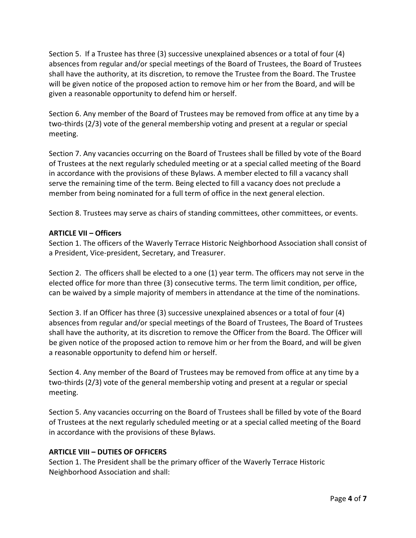Section 5. If a Trustee has three (3) successive unexplained absences or a total of four (4) absences from regular and/or special meetings of the Board of Trustees, the Board of Trustees shall have the authority, at its discretion, to remove the Trustee from the Board. The Trustee will be given notice of the proposed action to remove him or her from the Board, and will be given a reasonable opportunity to defend him or herself.

Section 6. Any member of the Board of Trustees may be removed from office at any time by a two-thirds (2/3) vote of the general membership voting and present at a regular or special meeting.

Section 7. Any vacancies occurring on the Board of Trustees shall be filled by vote of the Board of Trustees at the next regularly scheduled meeting or at a special called meeting of the Board in accordance with the provisions of these Bylaws. A member elected to fill a vacancy shall serve the remaining time of the term. Being elected to fill a vacancy does not preclude a member from being nominated for a full term of office in the next general election.

Section 8. Trustees may serve as chairs of standing committees, other committees, or events.

## ARTICLE VII – Officers

Section 1. The officers of the Waverly Terrace Historic Neighborhood Association shall consist of a President, Vice-president, Secretary, and Treasurer.

Section 2. The officers shall be elected to a one (1) year term. The officers may not serve in the elected office for more than three (3) consecutive terms. The term limit condition, per office, can be waived by a simple majority of members in attendance at the time of the nominations.

Section 3. If an Officer has three (3) successive unexplained absences or a total of four (4) absences from regular and/or special meetings of the Board of Trustees, The Board of Trustees shall have the authority, at its discretion to remove the Officer from the Board. The Officer will be given notice of the proposed action to remove him or her from the Board, and will be given a reasonable opportunity to defend him or herself.

Section 4. Any member of the Board of Trustees may be removed from office at any time by a two-thirds (2/3) vote of the general membership voting and present at a regular or special meeting.

Section 5. Any vacancies occurring on the Board of Trustees shall be filled by vote of the Board of Trustees at the next regularly scheduled meeting or at a special called meeting of the Board in accordance with the provisions of these Bylaws.

# ARTICLE VIII – DUTIES OF OFFICERS

Section 1. The President shall be the primary officer of the Waverly Terrace Historic Neighborhood Association and shall: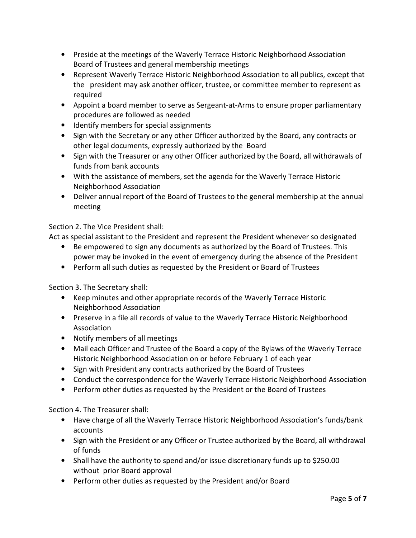- Preside at the meetings of the Waverly Terrace Historic Neighborhood Association Board of Trustees and general membership meetings
- Represent Waverly Terrace Historic Neighborhood Association to all publics, except that the president may ask another officer, trustee, or committee member to represent as required
- Appoint a board member to serve as Sergeant-at-Arms to ensure proper parliamentary procedures are followed as needed
- Identify members for special assignments
- Sign with the Secretary or any other Officer authorized by the Board, any contracts or other legal documents, expressly authorized by the Board
- Sign with the Treasurer or any other Officer authorized by the Board, all withdrawals of funds from bank accounts
- With the assistance of members, set the agenda for the Waverly Terrace Historic Neighborhood Association
- Deliver annual report of the Board of Trustees to the general membership at the annual meeting

# Section 2. The Vice President shall:

Act as special assistant to the President and represent the President whenever so designated

- Be empowered to sign any documents as authorized by the Board of Trustees. This power may be invoked in the event of emergency during the absence of the President
- Perform all such duties as requested by the President or Board of Trustees

Section 3. The Secretary shall:

- Keep minutes and other appropriate records of the Waverly Terrace Historic Neighborhood Association
- Preserve in a file all records of value to the Waverly Terrace Historic Neighborhood Association
- Notify members of all meetings
- Mail each Officer and Trustee of the Board a copy of the Bylaws of the Waverly Terrace Historic Neighborhood Association on or before February 1 of each year
- Sign with President any contracts authorized by the Board of Trustees
- Conduct the correspondence for the Waverly Terrace Historic Neighborhood Association
- Perform other duties as requested by the President or the Board of Trustees

Section 4. The Treasurer shall:

- Have charge of all the Waverly Terrace Historic Neighborhood Association's funds/bank accounts
- Sign with the President or any Officer or Trustee authorized by the Board, all withdrawal of funds
- Shall have the authority to spend and/or issue discretionary funds up to \$250.00 without prior Board approval
- Perform other duties as requested by the President and/or Board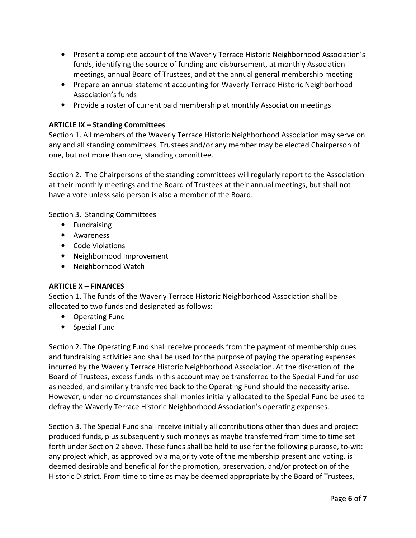- Present a complete account of the Waverly Terrace Historic Neighborhood Association's funds, identifying the source of funding and disbursement, at monthly Association meetings, annual Board of Trustees, and at the annual general membership meeting
- Prepare an annual statement accounting for Waverly Terrace Historic Neighborhood Association's funds
- Provide a roster of current paid membership at monthly Association meetings

# ARTICLE IX – Standing Committees

Section 1. All members of the Waverly Terrace Historic Neighborhood Association may serve on any and all standing committees. Trustees and/or any member may be elected Chairperson of one, but not more than one, standing committee.

Section 2. The Chairpersons of the standing committees will regularly report to the Association at their monthly meetings and the Board of Trustees at their annual meetings, but shall not have a vote unless said person is also a member of the Board.

Section 3. Standing Committees

- Fundraising
- Awareness
- Code Violations
- Neighborhood Improvement
- Neighborhood Watch

# ARTICLE X – FINANCES

Section 1. The funds of the Waverly Terrace Historic Neighborhood Association shall be allocated to two funds and designated as follows:

- Operating Fund
- Special Fund

Section 2. The Operating Fund shall receive proceeds from the payment of membership dues and fundraising activities and shall be used for the purpose of paying the operating expenses incurred by the Waverly Terrace Historic Neighborhood Association. At the discretion of the Board of Trustees, excess funds in this account may be transferred to the Special Fund for use as needed, and similarly transferred back to the Operating Fund should the necessity arise. However, under no circumstances shall monies initially allocated to the Special Fund be used to defray the Waverly Terrace Historic Neighborhood Association's operating expenses.

Section 3. The Special Fund shall receive initially all contributions other than dues and project produced funds, plus subsequently such moneys as maybe transferred from time to time set forth under Section 2 above. These funds shall be held to use for the following purpose, to-wit: any project which, as approved by a majority vote of the membership present and voting, is deemed desirable and beneficial for the promotion, preservation, and/or protection of the Historic District. From time to time as may be deemed appropriate by the Board of Trustees,